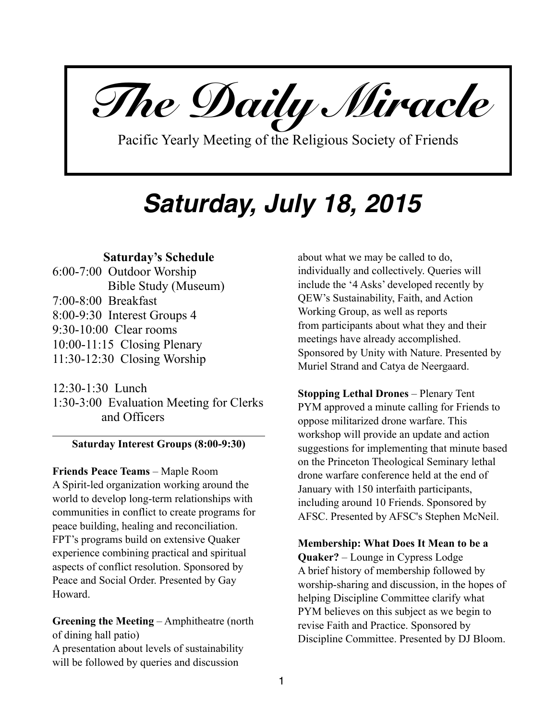*The Daily Miracle* 

Pacific Yearly Meeting of the Religious Society of Friends

# *Saturday, July 18, 2015*

## **Saturday's Schedule**

6:00-7:00 Outdoor Worship Bible Study (Museum) 7:00-8:00 Breakfast 8:00-9:30 Interest Groups 4 9:30-10:00 Clear rooms 10:00-11:15 Closing Plenary 11:30-12:30 Closing Worship

12:30-1:30 Lunch 1:30-3:00 Evaluation Meeting for Clerks and Officers

### **Saturday Interest Groups (8:00-9:30)**

**Friends Peace Teams** – Maple Room A Spirit-led organization working around the world to develop long-term relationships with communities in conflict to create programs for peace building, healing and reconciliation. FPT's programs build on extensive Quaker experience combining practical and spiritual aspects of conflict resolution. Sponsored by Peace and Social Order. Presented by Gay Howard.

**Greening the Meeting** – Amphitheatre (north of dining hall patio)

A presentation about levels of sustainability will be followed by queries and discussion

about what we may be called to do, individually and collectively. Queries will include the '4 Asks' developed recently by QEW's Sustainability, Faith, and Action Working Group, as well as reports from participants about what they and their meetings have already accomplished. Sponsored by Unity with Nature. Presented by Muriel Strand and Catya de Neergaard.

**Stopping Lethal Drones** – Plenary Tent PYM approved a minute calling for Friends to oppose militarized drone warfare. This workshop will provide an update and action suggestions for implementing that minute based on the Princeton Theological Seminary lethal drone warfare conference held at the end of January with 150 interfaith participants, including around 10 Friends. Sponsored by AFSC. Presented by AFSC's Stephen McNeil.

**Membership: What Does It Mean to be a Quaker?** – Lounge in Cypress Lodge A brief history of membership followed by worship-sharing and discussion, in the hopes of helping Discipline Committee clarify what PYM believes on this subject as we begin to revise Faith and Practice. Sponsored by Discipline Committee. Presented by DJ Bloom.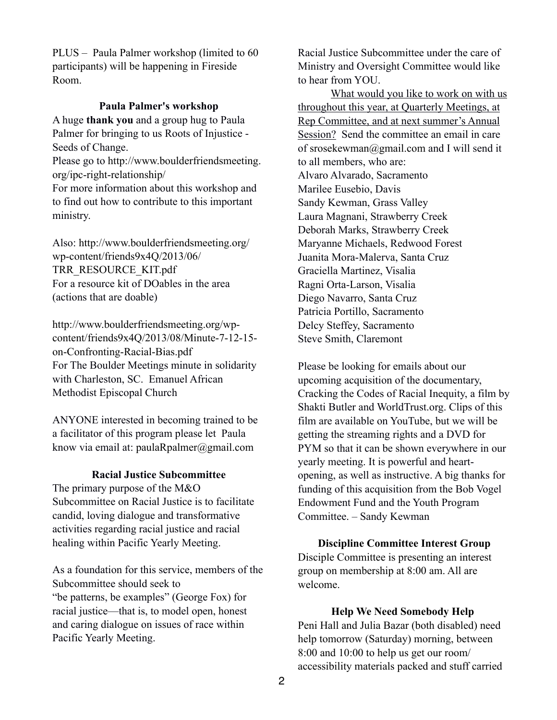PLUS – Paula Palmer workshop (limited to 60 participants) will be happening in Fireside Room.

## **Paula Palmer's workshop**

A huge **thank you** and a group hug to Paula Palmer for bringing to us Roots of Injustice - Seeds of Change.

Please go to http://www.boulderfriendsmeeting. org/ipc-right-relationship/

For more information about this workshop and to find out how to contribute to this important ministry.

[Also: http://www.boulderfriendsmeeting.org/](http://www.boulderfriendsmeeting.org/wp-content/friends9x4Q/2013/06/TRR_RESOURCE_KIT.pdf) wp-content/friends9x4Q/2013/06/ TRR\_RESOURCE\_KIT.pdf For a resource kit of DOables in the area (actions that are doable)

http://www.boulderfriendsmeeting.org/wp[content/friends9x4Q/2013/08/Minute-7-12-15](http://www.boulderfriendsmeeting.org/wp-content/friends9x4Q/2013/08/Minute-7-12-15-on-Confronting-Racial-Bias.pdf) on-Confronting-Racial-Bias.pdf For The Boulder Meetings minute in solidarity with Charleston, SC. Emanuel African Methodist Episcopal Church

ANYONE interested in becoming trained to be a facilitator of this program please let Paula know via email at: [paulaRpalmer@gmail.com](mailto:paulaRpalmer@gmail.com)

### **Racial Justice Subcommittee**

The primary purpose of the M&O Subcommittee on Racial Justice is to facilitate candid, loving dialogue and transformative activities regarding racial justice and racial healing within Pacific Yearly Meeting.

As a foundation for this service, members of the Subcommittee should seek to "be patterns, be examples" (George Fox) for racial justice—that is, to model open, honest and caring dialogue on issues of race within Pacific Yearly Meeting.

Racial Justice Subcommittee under the care of Ministry and Oversight Committee would like to hear from YOU.

What would you like to work on with us throughout this year, at Quarterly Meetings, at Rep Committee, and at next summer's Annual Session? Send the committee an email in care of srosekewman@gmail.com and I will send it to all members, who are: Alvaro Alvarado, Sacramento Marilee Eusebio, Davis Sandy Kewman, Grass Valley Laura Magnani, Strawberry Creek Deborah Marks, Strawberry Creek Maryanne Michaels, Redwood Forest Juanita Mora-Malerva, Santa Cruz Graciella Martinez, Visalia Ragni Orta-Larson, Visalia Diego Navarro, Santa Cruz Patricia Portillo, Sacramento Delcy Steffey, Sacramento Steve Smith, Claremont

Please be looking for emails about our upcoming acquisition of the documentary, Cracking the Codes of Racial Inequity, a film by Shakti Butler and WorldTrust.org. Clips of this film are available on YouTube, but we will be getting the streaming rights and a DVD for PYM so that it can be shown everywhere in our yearly meeting. It is powerful and heartopening, as well as instructive. A big thanks for funding of this acquisition from the Bob Vogel Endowment Fund and the Youth Program Committee. – Sandy Kewman

### **Discipline Committee Interest Group**

Disciple Committee is presenting an interest group on membership at 8:00 am. All are welcome.

#### **Help We Need Somebody Help**

Peni Hall and Julia Bazar (both disabled) need help tomorrow (Saturday) morning, between 8:00 and 10:00 to help us get our room/ accessibility materials packed and stuff carried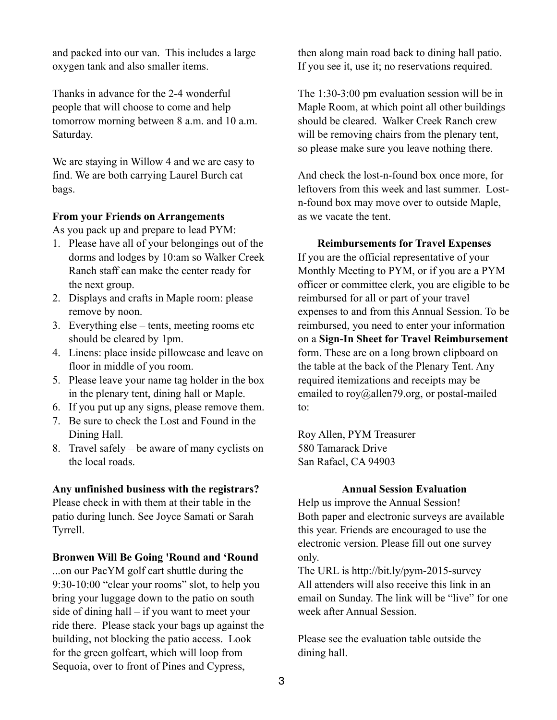and packed into our van. This includes a large oxygen tank and also smaller items.

Thanks in advance for the 2-4 wonderful people that will choose to come and help tomorrow morning between 8 a.m. and 10 a.m. Saturday.

We are staying in Willow 4 and we are easy to find. We are both carrying Laurel Burch cat bags.

## **From your Friends on Arrangements**

As you pack up and prepare to lead PYM:

- 1. Please have all of your belongings out of the dorms and lodges by 10:am so Walker Creek Ranch staff can make the center ready for the next group.
- 2. Displays and crafts in Maple room: please remove by noon.
- 3. Everything else tents, meeting rooms etc should be cleared by 1pm.
- 4. Linens: place inside pillowcase and leave on floor in middle of you room.
- 5. Please leave your name tag holder in the box in the plenary tent, dining hall or Maple.
- 6. If you put up any signs, please remove them.
- 7. Be sure to check the Lost and Found in the Dining Hall.
- 8. Travel safely be aware of many cyclists on the local roads.

### **Any unfinished business with the registrars?**

Please check in with them at their table in the patio during lunch. See Joyce Samati or Sarah Tyrrell.

### **Bronwen Will Be Going 'Round and 'Round**

...on our PacYM golf cart shuttle during the 9:30-10:00 "clear your rooms" slot, to help you bring your luggage down to the patio on south side of dining hall – if you want to meet your ride there. Please stack your bags up against the building, not blocking the patio access. Look for the green golfcart, which will loop from Sequoia, over to front of Pines and Cypress,

then along main road back to dining hall patio. If you see it, use it; no reservations required.

The 1:30-3:00 pm evaluation session will be in Maple Room, at which point all other buildings should be cleared. Walker Creek Ranch crew will be removing chairs from the plenary tent, so please make sure you leave nothing there.

And check the lost-n-found box once more, for leftovers from this week and last summer. Lostn-found box may move over to outside Maple, as we vacate the tent.

## **Reimbursements for Travel Expenses**

If you are the official representative of your Monthly Meeting to PYM, or if you are a PYM officer or committee clerk, you are eligible to be reimbursed for all or part of your travel expenses to and from this Annual Session. To be reimbursed, you need to enter your information on a **Sign-In Sheet for Travel Reimbursement** form. These are on a long brown clipboard on the table at the back of the Plenary Tent. Any required itemizations and receipts may be emailed to roy@allen79.org, or postal-mailed to:

Roy Allen, PYM Treasurer 580 Tamarack Drive San Rafael, CA 94903

### **Annual Session Evaluation**

Help us improve the Annual Session! Both paper and electronic surveys are available this year. Friends are encouraged to use the electronic version. Please fill out one survey only.

The URL is <http://bit.ly/pym-2015-survey> All attenders will also receive this link in an email on Sunday. The link will be "live" for one week after Annual Session.

Please see the evaluation table outside the dining hall.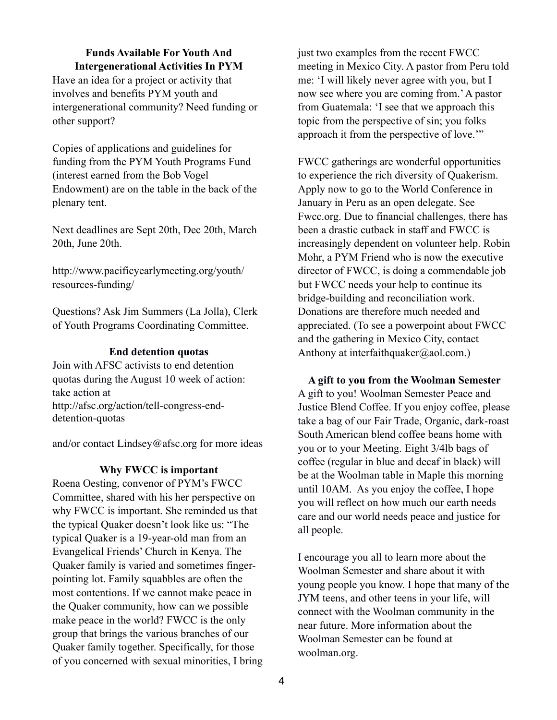## **Funds Available For Youth And Intergenerational Activities In PYM**

Have an idea for a project or activity that involves and benefits PYM youth and intergenerational community? Need funding or other support?

Copies of applications and guidelines for funding from the PYM Youth Programs Fund (interest earned from the Bob Vogel Endowment) are on the table in the back of the plenary tent.

Next deadlines are Sept 20th, Dec 20th, March 20th, June 20th.

[http://www.pacificyearlymeeting.org/youth/](http://www.pacificyearlymeeting.org/youth/resources-funding/) resources-funding/

Questions? Ask Jim Summers (La Jolla), Clerk of Youth Programs Coordinating Committee.

## **End detention quotas**

Join with AFSC activists to end detention quotas during the August 10 week of action: take action at [http://afsc.org/action/tell-congress-end](http://afsc.org/action/tell-congress-end-detention-quotas)detention-quotas

and/or contact Lindsey@afsc.org for more ideas

### **Why FWCC is important**

Roena Oesting, convenor of PYM's FWCC Committee, shared with his her perspective on why FWCC is important. She reminded us that the typical Quaker doesn't look like us: "The typical Quaker is a 19-year-old man from an Evangelical Friends' Church in Kenya. The Quaker family is varied and sometimes fingerpointing lot. Family squabbles are often the most contentions. If we cannot make peace in the Quaker community, how can we possible make peace in the world? FWCC is the only group that brings the various branches of our Quaker family together. Specifically, for those of you concerned with sexual minorities, I bring just two examples from the recent FWCC meeting in Mexico City. A pastor from Peru told me: 'I will likely never agree with you, but I now see where you are coming from.' A pastor from Guatemala: 'I see that we approach this topic from the perspective of sin; you folks approach it from the perspective of love.'"

FWCC gatherings are wonderful opportunities to experience the rich diversity of Quakerism. Apply now to go to the World Conference in January in Peru as an open delegate. See Fwcc.org. Due to financial challenges, there has been a drastic cutback in staff and FWCC is increasingly dependent on volunteer help. Robin Mohr, a PYM Friend who is now the executive director of FWCC, is doing a commendable job but FWCC needs your help to continue its bridge-building and reconciliation work. Donations are therefore much needed and appreciated. (To see a powerpoint about FWCC and the gathering in Mexico City, contact Anthony at [interfaithquaker@aol.com](mailto:interfaithquaker@aol.com?subject=).)

**A gift to you from the Woolman Semester** A gift to you! Woolman Semester Peace and Justice Blend Coffee. If you enjoy coffee, please take a bag of our Fair Trade, Organic, dark-roast South American blend coffee beans home with you or to your Meeting. Eight 3/4lb bags of coffee (regular in blue and decaf in black) will be at the Woolman table in Maple this morning until 10AM. As you enjoy the coffee, I hope you will reflect on how much our earth needs care and our world needs peace and justice for all people.

I encourage you all to learn more about the Woolman Semester and share about it with young people you know. I hope that many of the JYM teens, and other teens in your life, will connect with the Woolman community in the near future. More information about the Woolman Semester can be found at woolman.org.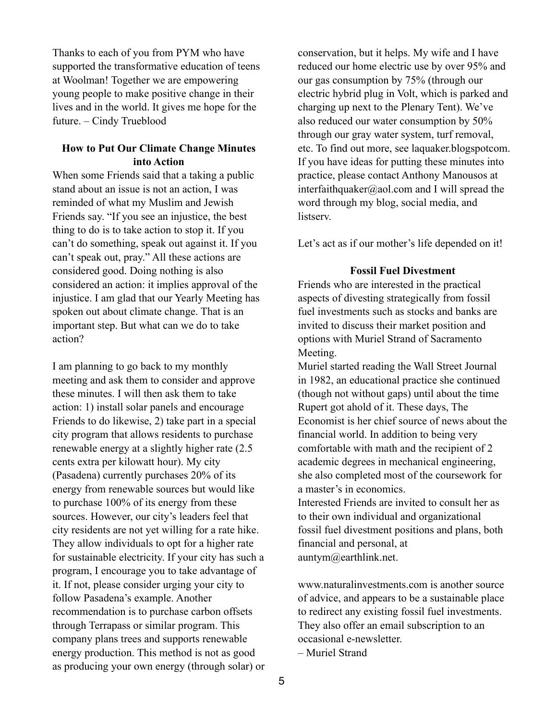Thanks to each of you from PYM who have supported the transformative education of teens at Woolman! Together we are empowering young people to make positive change in their lives and in the world. It gives me hope for the future. – Cindy Trueblood

## **How to Put Our Climate Change Minutes into Action**

When some Friends said that a taking a public stand about an issue is not an action, I was reminded of what my Muslim and Jewish Friends say. "If you see an injustice, the best thing to do is to take action to stop it. If you can't do something, speak out against it. If you can't speak out, pray." All these actions are considered good. Doing nothing is also considered an action: it implies approval of the injustice. I am glad that our Yearly Meeting has spoken out about climate change. That is an important step. But what can we do to take action?

I am planning to go back to my monthly meeting and ask them to consider and approve these minutes. I will then ask them to take action: 1) install solar panels and encourage Friends to do likewise, 2) take part in a special city program that allows residents to purchase renewable energy at a slightly higher rate (2.5 cents extra per kilowatt hour). My city (Pasadena) currently purchases 20% of its energy from renewable sources but would like to purchase 100% of its energy from these sources. However, our city's leaders feel that city residents are not yet willing for a rate hike. They allow individuals to opt for a higher rate for sustainable electricity. If your city has such a program, I encourage you to take advantage of it. If not, please consider urging your city to follow Pasadena's example. Another recommendation is to purchase carbon offsets through Terrapass or similar program. This company plans trees and supports renewable energy production. This method is not as good as producing your own energy (through solar) or

conservation, but it helps. My wife and I have reduced our home electric use by over 95% and our gas consumption by 75% (through our electric hybrid plug in Volt, which is parked and charging up next to the Plenary Tent). We've also reduced our water consumption by 50% through our gray water system, turf removal, etc. To find out more, see laquaker.blogspotcom. If you have ideas for putting these minutes into practice, please contact Anthony Manousos at interfaithquaker@aol.com and I will spread the word through my blog, social media, and listserv.

Let's act as if our mother's life depended on it!

## **Fossil Fuel Divestment**

Friends who are interested in the practical aspects of divesting strategically from fossil fuel investments such as stocks and banks are invited to discuss their market position and options with Muriel Strand of Sacramento Meeting.

Muriel started reading the Wall Street Journal in 1982, an educational practice she continued (though not without gaps) until about the time Rupert got ahold of it. These days, The Economist is her chief source of news about the financial world. In addition to being very comfortable with math and the recipient of 2 academic degrees in mechanical engineering, she also completed most of the coursework for a master's in economics.

Interested Friends are invited to consult her as to their own individual and organizational fossil fuel divestment positions and plans, both financial and personal, at auntym@earthlink.net.

www.naturalinvestments.com is another source of advice, and appears to be a sustainable place to redirect any existing fossil fuel investments. They also offer an email subscription to an occasional e-newsletter.

– Muriel Strand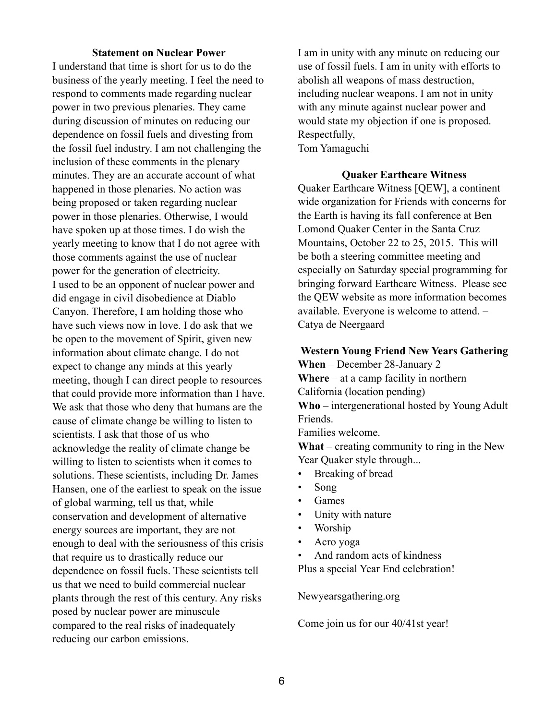## **Statement on Nuclear Power**

I understand that time is short for us to do the business of the yearly meeting. I feel the need to respond to comments made regarding nuclear power in two previous plenaries. They came during discussion of minutes on reducing our dependence on fossil fuels and divesting from the fossil fuel industry. I am not challenging the inclusion of these comments in the plenary minutes. They are an accurate account of what happened in those plenaries. No action was being proposed or taken regarding nuclear power in those plenaries. Otherwise, I would have spoken up at those times. I do wish the yearly meeting to know that I do not agree with those comments against the use of nuclear power for the generation of electricity. I used to be an opponent of nuclear power and did engage in civil disobedience at Diablo Canyon. Therefore, I am holding those who have such views now in love. I do ask that we be open to the movement of Spirit, given new information about climate change. I do not expect to change any minds at this yearly meeting, though I can direct people to resources that could provide more information than I have. We ask that those who deny that humans are the cause of climate change be willing to listen to scientists. I ask that those of us who acknowledge the reality of climate change be willing to listen to scientists when it comes to solutions. These scientists, including Dr. James Hansen, one of the earliest to speak on the issue of global warming, tell us that, while conservation and development of alternative energy sources are important, they are not enough to deal with the seriousness of this crisis that require us to drastically reduce our dependence on fossil fuels. These scientists tell us that we need to build commercial nuclear plants through the rest of this century. Any risks posed by nuclear power are minuscule compared to the real risks of inadequately reducing our carbon emissions.

I am in unity with any minute on reducing our use of fossil fuels. I am in unity with efforts to abolish all weapons of mass destruction, including nuclear weapons. I am not in unity with any minute against nuclear power and would state my objection if one is proposed. Respectfully, Tom Yamaguchi

## **Quaker Earthcare Witness**

Quaker Earthcare Witness [QEW], a continent wide organization for Friends with concerns for the Earth is having its fall conference at Ben Lomond Quaker Center in the Santa Cruz Mountains, October 22 to 25, 2015. This will be both a steering committee meeting and especially on Saturday special programming for bringing forward Earthcare Witness. Please see the QEW website as more information becomes available. Everyone is welcome to attend. – Catya de Neergaard

**Western Young Friend New Years Gathering When** – December 28-January 2 **Where** – at a camp facility in northern California (location pending) **Who** – intergenerational hosted by Young Adult Friends.

Families welcome.

**What** – creating community to ring in the New Year Quaker style through...

- Breaking of bread
- Song
- Games
- Unity with nature
- Worship
- Acro yoga
- And random acts of kindness

Plus a special Year End celebration!

## Newyearsgathering.org

Come join us for our 40/41st year!